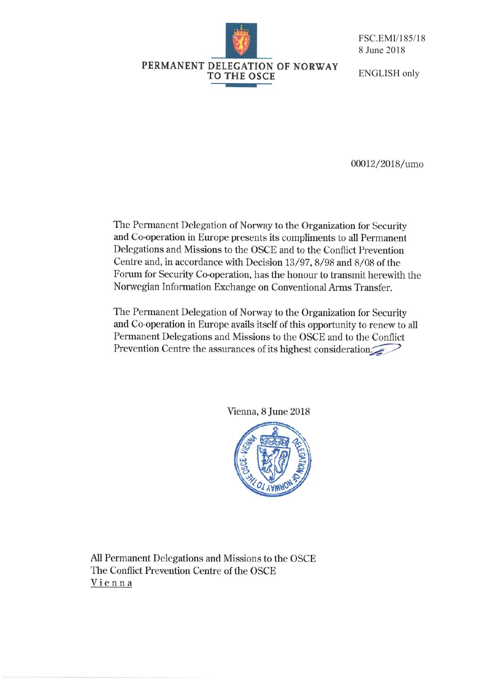

**TO THE OSCE** 

FSC.EMI/185/18 8 June 2018

### **ENGLISH** only

00012/2018/umo

The Permanent Delegation of Norway to the Organization for Security and Co-operation in Europe presents its compliments to all Permanent Delegations and Missions to the OSCE and to the Conflict Prevention Centre and, in accordance with Decision 13/97, 8/98 and 8/08 of the Forum for Security Co-operation, has the honour to transmit herewith the Norwegian Information Exchange on Conventional Arms Transfer.

The Permanent Delegation of Norway to the Organization for Security and Co-operation in Europe avails itself of this opportunity to renew to all Permanent Delegations and Missions to the OSCE and to the Conflict Prevention Centre the assurances of its highest consideration

Vienna, 8 June 2018



All Permanent Delegations and Missions to the OSCE The Conflict Prevention Centre of the OSCE Vienna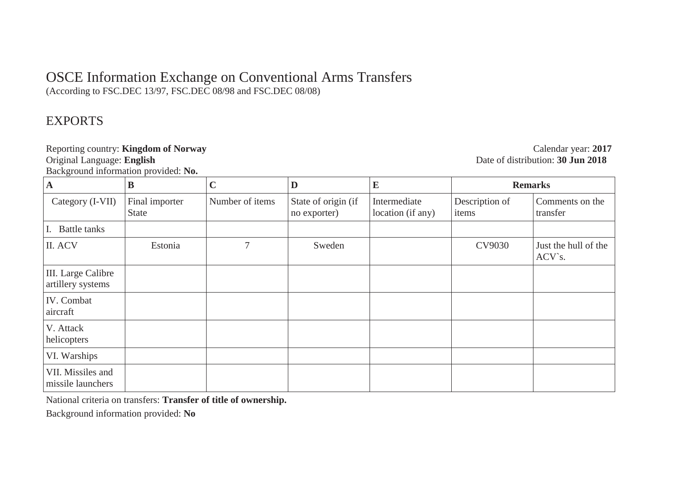# OSCE Information Exchange on Conventional Arms Transfers

(According to FSC.DEC 13/97, FSC.DEC 08/98 and FSC.DEC 08/08)

## EXPORTS

Background information provided: **No.** 

Reporting country: **Kingdom of Norway**<br>
Calendar year: 2017<br>
Original Language: **English**<br>
2018 Date of distribution: **30 Jun 2018** 

| $\mathbf A$                             | B                              | $\mathbf C$     | D                                   | $\bf{E}$                          | <b>Remarks</b>          |                                |
|-----------------------------------------|--------------------------------|-----------------|-------------------------------------|-----------------------------------|-------------------------|--------------------------------|
| Category (I-VII)                        | Final importer<br><b>State</b> | Number of items | State of origin (if<br>no exporter) | Intermediate<br>location (if any) | Description of<br>items | Comments on the<br>transfer    |
| <b>Battle tanks</b>                     |                                |                 |                                     |                                   |                         |                                |
| II. ACV                                 | Estonia                        | 7               | Sweden                              |                                   | CV9030                  | Just the hull of the<br>ACV's. |
| III. Large Calibre<br>artillery systems |                                |                 |                                     |                                   |                         |                                |
| IV. Combat<br>aircraft                  |                                |                 |                                     |                                   |                         |                                |
| V. Attack<br>helicopters                |                                |                 |                                     |                                   |                         |                                |
| VI. Warships                            |                                |                 |                                     |                                   |                         |                                |
| VII. Missiles and<br>missile launchers  |                                |                 |                                     |                                   |                         |                                |

National criteria on transfers: **Transfer of title of ownership.** 

Background information provided: **No**